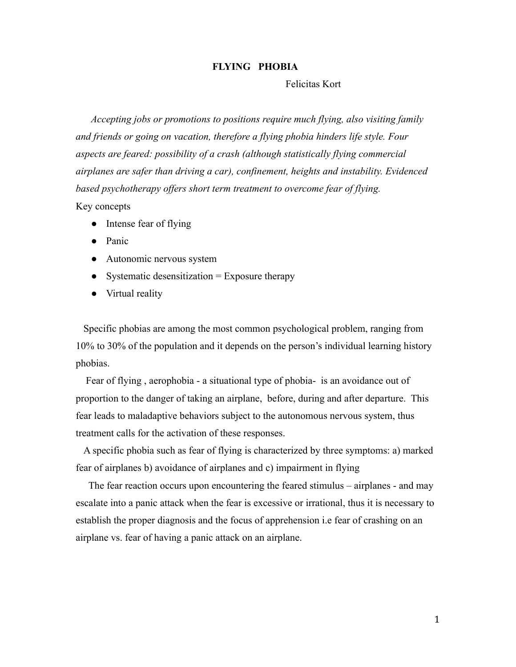## **FLYING PHOBIA**

Felicitas Kort

*Accepting jobs or promotions to positions require much flying, also visiting family and friends or going on vacation, therefore a flying phobia hinders life style. Four aspects are feared: possibility of a crash (although statistically flying commercial airplanes are safer than driving a car), confinement, heights and instability. Evidenced based psychotherapy offers short term treatment to overcome fear of flying.*

Key concepts

- Intense fear of flying
- Panic
- Autonomic nervous system
- Systematic desensitization  $=$  Exposure therapy
- Virtual reality

Specific phobias are among the most common psychological problem, ranging from 10% to 30% of the population and it depends on the person's individual learning history phobias.

Fear of flying , aerophobia - a situational type of phobia- is an avoidance out of proportion to the danger of taking an airplane, before, during and after departure. This fear leads to maladaptive behaviors subject to the autonomous nervous system, thus treatment calls for the activation of these responses.

A specific phobia such as fear of flying is characterized by three symptoms: a) marked fear of airplanes b) avoidance of airplanes and c) impairment in flying

The fear reaction occurs upon encountering the feared stimulus – airplanes - and may escalate into a panic attack when the fear is excessive or irrational, thus it is necessary to establish the proper diagnosis and the focus of apprehension i.e fear of crashing on an airplane vs. fear of having a panic attack on an airplane.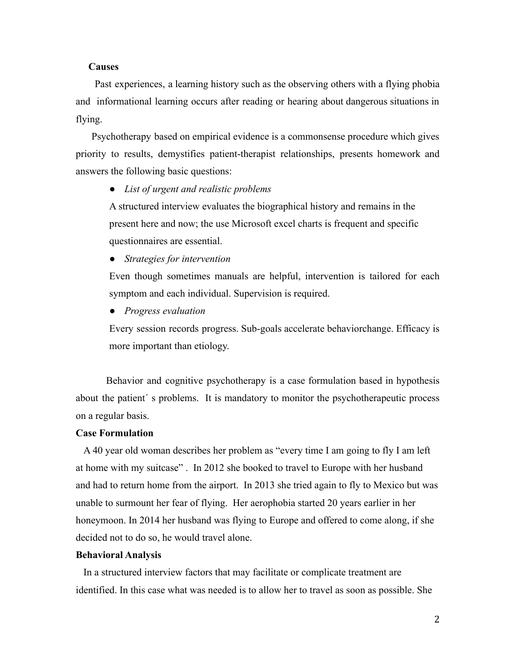#### **Causes**

Past experiences, a learning history such as the observing others with a flying phobia and informational learning occurs after reading or hearing about dangerous situations in flying.

Psychotherapy based on empirical evidence is a commonsense procedure which gives priority to results, demystifies patient-therapist relationships, presents homework and answers the following basic questions:

*● List of urgent and realistic problems*

A structured interview evaluates the biographical history and remains in the present here and now; the use Microsoft excel charts is frequent and specific questionnaires are essential.

*● Strategies for intervention*

Even though sometimes manuals are helpful, intervention is tailored for each symptom and each individual. Supervision is required.

*● Progress evaluation*

Every session records progress. Sub-goals accelerate behaviorchange. Efficacy is more important than etiology.

Behavior and cognitive psychotherapy is a case formulation based in hypothesis about the patient´ s problems. It is mandatory to monitor the psychotherapeutic process on a regular basis.

#### **Case Formulation**

A 40 year old woman describes her problem as "every time I am going to fly I am left at home with my suitcase" . In 2012 she booked to travel to Europe with her husband and had to return home from the airport. In 2013 she tried again to fly to Mexico but was unable to surmount her fear of flying. Her aerophobia started 20 years earlier in her honeymoon. In 2014 her husband was flying to Europe and offered to come along, if she decided not to do so, he would travel alone.

#### **Behavioral Analysis**

In a structured interview factors that may facilitate or complicate treatment are identified. In this case what was needed is to allow her to travel as soon as possible. She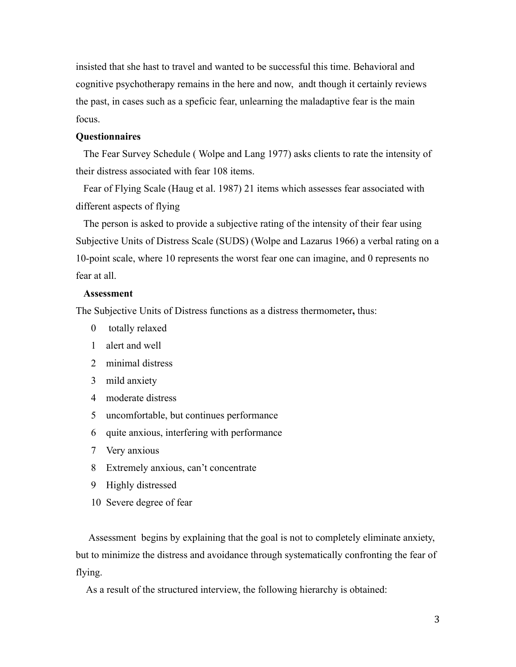insisted that she hast to travel and wanted to be successful this time. Behavioral and cognitive psychotherapy remains in the here and now, andt though it certainly reviews the past, in cases such as a speficic fear, unlearning the maladaptive fear is the main focus.

## **Questionnaires**

The Fear Survey Schedule ( Wolpe and Lang 1977) asks clients to rate the intensity of their distress associated with fear 108 items.

Fear of Flying Scale (Haug et al. 1987) 21 items which assesses fear associated with different aspects of flying

The person is asked to provide a subjective rating of the intensity of their fear using Subjective Units of Distress Scale (SUDS) (Wolpe and Lazarus 1966) a verbal rating on a 10-point scale, where 10 represents the worst fear one can imagine, and 0 represents no fear at all.

#### **Assessment**

The Subjective Units of Distress functions as a distress thermometer**,** thus:

- 0 totally relaxed
- 1 alert and well
- 2 minimal distress
- 3 mild anxiety
- 4 moderate distress
- 5 uncomfortable, but continues performance
- 6 quite anxious, interfering with performance
- 7 Very anxious
- 8 Extremely anxious, can't concentrate
- 9 Highly distressed
- 10 Severe degree of fear

Assessment begins by explaining that the goal is not to completely eliminate anxiety, but to minimize the distress and avoidance through systematically confronting the fear of flying.

As a result of the structured interview, the following hierarchy is obtained: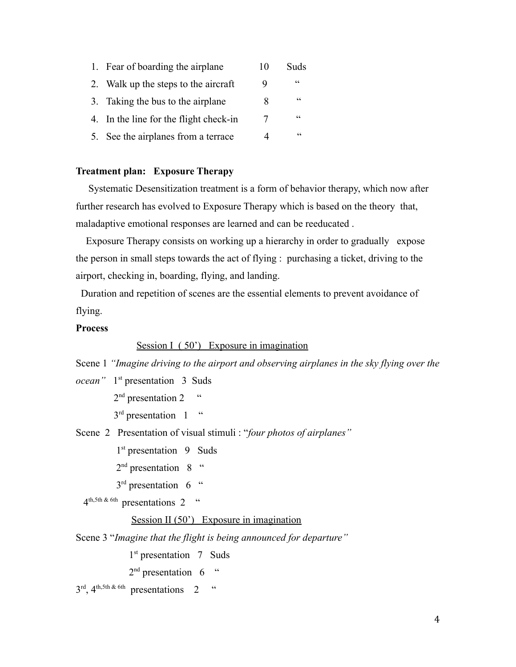|    | 1. Fear of boarding the airplane       | 10 | Suds       |
|----|----------------------------------------|----|------------|
| 2. | Walk up the steps to the aircraft      | 9  | $\epsilon$ |
|    | 3. Taking the bus to the airplane      | 8  | $\epsilon$ |
|    | 4. In the line for the flight check-in | 7  | $\epsilon$ |
|    | 5. See the airplanes from a terrace    |    | $\epsilon$ |

# **Treatment plan: Exposure Therapy**

Systematic Desensitization treatment is a form of behavior therapy, which now after further research has evolved to Exposure Therapy which is based on the theory that, maladaptive emotional responses are learned and can be reeducated .

Exposure Therapy consists on working up a hierarchy in order to gradually expose the person in small steps towards the act of flying : purchasing a ticket, driving to the airport, checking in, boarding, flying, and landing.

Duration and repetition of scenes are the essential elements to prevent avoidance of flying.

## **Process**

#### Session I (50<sup>°</sup>) Exposure in imagination

Scene 1 *"Imagine driving to the airport and observing airplanes in the sky flying over the*

*ocean"* 1 st presentation 3 Suds

 $2<sup>nd</sup>$  presentation 2  $\cdot$  "

 $3<sup>rd</sup>$  presentation 1  $\cdot$ 

Scene 2 Presentation of visual stimuli : "*four photos of airplanes"*

1<sup>st</sup> presentation 9 Suds

- 2<sup>nd</sup> presentation 8 "
- $3<sup>rd</sup>$  presentation 6  $\degree$

 $4^{\text{th,5th}}$  & 6th presentations 2 "

#### Session II (50<sup>'</sup>) Exposure in imagination

Scene 3 "*Imagine that the flight is being announced for departure"*

1<sup>st</sup> presentation 7 Suds

 $2<sup>nd</sup>$  presentation 6  $\degree$ 

 $3<sup>rd</sup>$ , 4<sup>th,5th & 6th</sup> presentations 2 "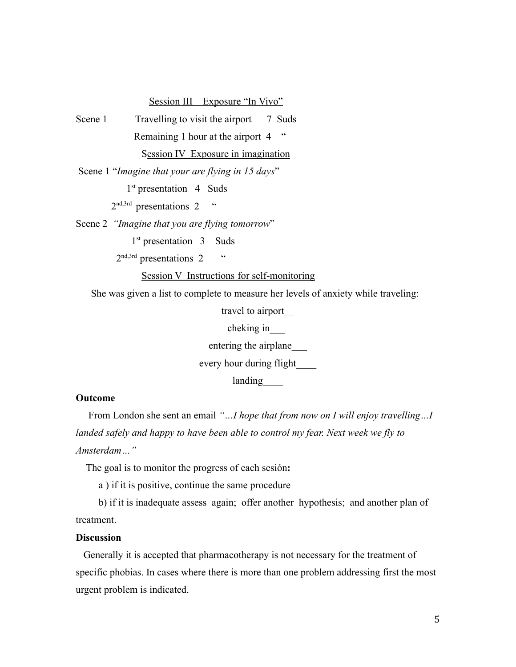## Session III Exposure "In Vivo"

Scene 1 Travelling to visit the airport 7 Suds Remaining 1 hour at the airport 4 " Session IV Exposure in imagination

Scene 1 "*Imagine that your are flying in 15 days*"

1<sup>st</sup> presentation 4 Suds

 $2^{\text{nd},3\text{rd}}$  presentations 2 "

Scene 2 *"Imagine that you are flying tomorrow*"

1<sup>st</sup> presentation 3 Suds

 $2^{\text{nd},3\text{rd}}$  presentations 2  $\cdots$ 

#### Session V Instructions for self-monitoring

She was given a list to complete to measure her levels of anxiety while traveling:

travel to airport\_\_

cheking in\_\_\_

entering the airplane\_\_\_

every hour during flight\_\_\_\_

landing

## **Outcome**

From London she sent an email *"…I hope that from now on I will enjoy travelling…I landed safely and happy to have been able to control my fear. Next week we fly to Amsterdam…"*

The goal is to monitor the progress of each sesión**:**

a ) if it is positive, continue the same procedure

b) if it is inadequate assess again; offer another hypothesis; and another plan of treatment.

## **Discussion**

Generally it is accepted that pharmacotherapy is not necessary for the treatment of specific phobias. In cases where there is more than one problem addressing first the most urgent problem is indicated.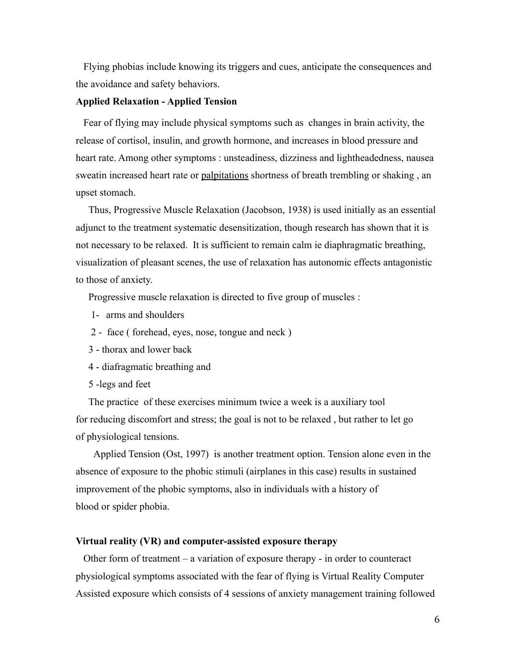Flying phobias include knowing its triggers and cues, anticipate the consequences and the avoidance and safety behaviors.

## **Applied Relaxation - Applied Tension**

Fear of flying may include physical symptoms such as changes in brain activity, the release of cortisol, insulin, and growth hormone, and increases in blood pressure and heart rate. Among other symptoms : unsteadiness, dizziness and lightheadedness, nausea sweatin increased heart rate or [palpitations](http://www.nhs.uk/conditions/Heart-palpitations/Pages/Introduction.aspx) shortness of breath trembling or shaking, an upset stomach.

Thus, Progressive Muscle Relaxation (Jacobson, 1938) is used initially as an essential adjunct to the treatment systematic desensitization, though research has shown that it is not necessary to be relaxed. It is sufficient to remain calm ie diaphragmatic breathing, visualization of pleasant scenes, the use of relaxation has autonomic effects antagonistic to those of anxiety.

Progressive muscle relaxation is directed to five group of muscles :

- 1- arms and shoulders
- 2 face ( forehead, eyes, nose, tongue and neck )
- 3 thorax and lower back
- 4 diafragmatic breathing and
- 5 -legs and feet

The practice of these exercises minimum twice a week is a auxiliary tool for reducing discomfort and stress; the goal is not to be relaxed , but rather to let go of physiological tensions.

Applied Tension (Ost, 1997) is another treatment option. Tension alone even in the absence of exposure to the phobic stimuli (airplanes in this case) results in sustained improvement of the phobic symptoms, also in individuals with a history of blood or spider phobia.

## **Virtual reality (VR) and computer-assisted exposure therapy**

Other form of treatment – a variation of exposure therapy - in order to counteract physiological symptoms associated with the fear of flying is Virtual Reality Computer Assisted exposure which consists of 4 sessions of anxiety management training followed